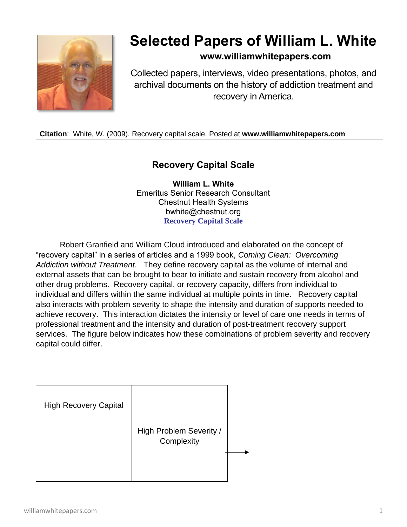

# **Selected Papers of William L. White**

**www.williamwhitepapers.com**

Collected papers, interviews, video presentations, photos, and archival documents on the history of addiction treatment and recovery in America.

**Citation**: White, W. (2009). Recovery capital scale. Posted at **www.williamwhitepapers.com**

## **Recovery Capital Scale**

**William L. White** Emeritus Senior Research Consultant Chestnut Health Systems bwhite@chestnut.org **Recovery Capital Scale** 

Robert Granfield and William Cloud introduced and elaborated on the concept of "recovery capital" in a series of articles and a 1999 book, *Coming Clean: Overcoming Addiction without Treatment*. They define recovery capital as the volume of internal and external assets that can be brought to bear to initiate and sustain recovery from alcohol and other drug problems. Recovery capital, or recovery capacity, differs from individual to individual and differs within the same individual at multiple points in time. Recovery capital also interacts with problem severity to shape the intensity and duration of supports needed to achieve recovery. This interaction dictates the intensity or level of care one needs in terms of professional treatment and the intensity and duration of post-treatment recovery support services. The figure below indicates how these combinations of problem severity and recovery capital could differ.

| <b>High Recovery Capital</b> |                                       |  |
|------------------------------|---------------------------------------|--|
|                              | High Problem Severity /<br>Complexity |  |
|                              |                                       |  |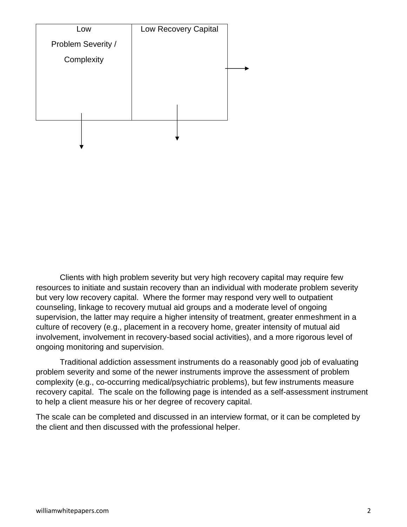

Clients with high problem severity but very high recovery capital may require few resources to initiate and sustain recovery than an individual with moderate problem severity but very low recovery capital. Where the former may respond very well to outpatient counseling, linkage to recovery mutual aid groups and a moderate level of ongoing supervision, the latter may require a higher intensity of treatment, greater enmeshment in a culture of recovery (e.g., placement in a recovery home, greater intensity of mutual aid involvement, involvement in recovery-based social activities), and a more rigorous level of ongoing monitoring and supervision.

Traditional addiction assessment instruments do a reasonably good job of evaluating problem severity and some of the newer instruments improve the assessment of problem complexity (e.g., co-occurring medical/psychiatric problems), but few instruments measure recovery capital. The scale on the following page is intended as a self-assessment instrument to help a client measure his or her degree of recovery capital.

The scale can be completed and discussed in an interview format, or it can be completed by the client and then discussed with the professional helper.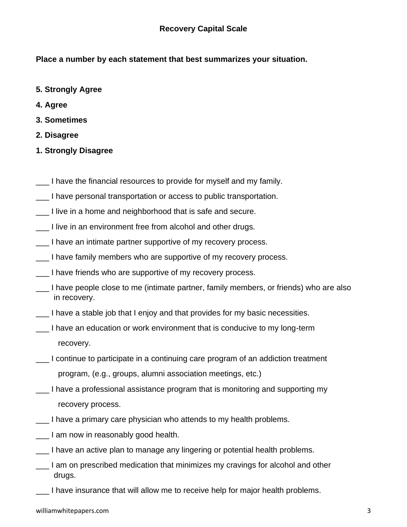**Place a number by each statement that best summarizes your situation.**

- **5. Strongly Agree**
- **4. Agree**
- **3. Sometimes**
- **2. Disagree**
- **1. Strongly Disagree**
- I have the financial resources to provide for myself and my family.
- I have personal transportation or access to public transportation.
- \_\_\_ I live in a home and neighborhood that is safe and secure.
- \_\_\_ I live in an environment free from alcohol and other drugs.
- \_\_\_ I have an intimate partner supportive of my recovery process.
- I have family members who are supportive of my recovery process.
- I have friends who are supportive of my recovery process.
- I have people close to me (intimate partner, family members, or friends) who are also in recovery.
- \_\_\_ I have a stable job that I enjoy and that provides for my basic necessities.
- I have an education or work environment that is conducive to my long-term recovery.
- \_\_\_ I continue to participate in a continuing care program of an addiction treatment program, (e.g., groups, alumni association meetings, etc.)
- I have a professional assistance program that is monitoring and supporting my recovery process.
- \_\_\_ I have a primary care physician who attends to my health problems.
- \_\_\_ I am now in reasonably good health.
- \_\_\_ I have an active plan to manage any lingering or potential health problems.
- \_\_\_ I am on prescribed medication that minimizes my cravings for alcohol and other drugs.
- \_\_\_ I have insurance that will allow me to receive help for major health problems.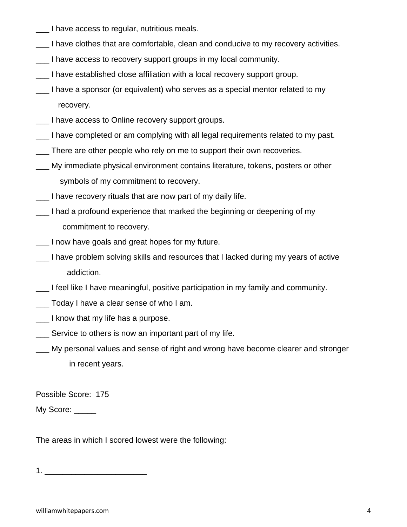- \_\_\_ I have access to regular, nutritious meals.
- \_\_\_ I have clothes that are comfortable, clean and conducive to my recovery activities.
- \_\_\_ I have access to recovery support groups in my local community.
- \_\_\_ I have established close affiliation with a local recovery support group.
- I have a sponsor (or equivalent) who serves as a special mentor related to my recovery.
- \_\_\_ I have access to Online recovery support groups.
- \_\_\_ I have completed or am complying with all legal requirements related to my past.
- \_\_\_ There are other people who rely on me to support their own recoveries.
- My immediate physical environment contains literature, tokens, posters or other symbols of my commitment to recovery.
- I have recovery rituals that are now part of my daily life.
- \_\_\_ I had a profound experience that marked the beginning or deepening of my commitment to recovery.
- \_\_\_ I now have goals and great hopes for my future.
- I have problem solving skills and resources that I lacked during my years of active addiction.
- \_\_\_ I feel like I have meaningful, positive participation in my family and community.
- \_\_\_ Today I have a clear sense of who I am.
- \_\_\_ I know that my life has a purpose.
- **EXEC** Service to others is now an important part of my life.
- My personal values and sense of right and wrong have become clearer and stronger in recent years.

Possible Score: 175

My Score: \_\_\_\_\_

The areas in which I scored lowest were the following:

1. \_\_\_\_\_\_\_\_\_\_\_\_\_\_\_\_\_\_\_\_\_\_\_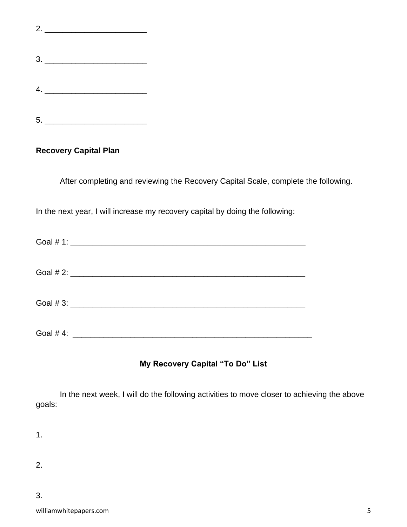5. \_\_\_\_\_\_\_\_\_\_\_\_\_\_\_\_\_\_\_\_\_\_\_

#### **Recovery Capital Plan**

After completing and reviewing the Recovery Capital Scale, complete the following.

In the next year, I will increase my recovery capital by doing the following:

| Goal $#4$ : |  |
|-------------|--|

### **My Recovery Capital "To Do" List**

In the next week, I will do the following activities to move closer to achieving the above goals:

1.

2.